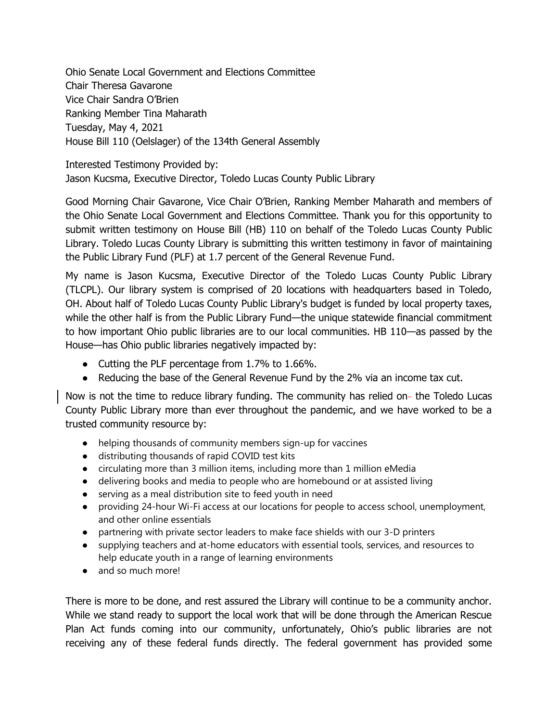Ohio Senate Local Government and Elections Committee Chair Theresa Gavarone Vice Chair Sandra O'Brien Ranking Member Tina Maharath Tuesday, May 4, 2021 House Bill 110 (Oelslager) of the 134th General Assembly

Interested Testimony Provided by: Jason Kucsma, Executive Director, Toledo Lucas County Public Library

Good Morning Chair Gavarone, Vice Chair O'Brien, Ranking Member Maharath and members of the Ohio Senate Local Government and Elections Committee. Thank you for this opportunity to submit written testimony on House Bill (HB) 110 on behalf of the Toledo Lucas County Public Library. Toledo Lucas County Library is submitting this written testimony in favor of maintaining the Public Library Fund (PLF) at 1.7 percent of the General Revenue Fund.

My name is Jason Kucsma, Executive Director of the Toledo Lucas County Public Library (TLCPL). Our library system is comprised of 20 locations with headquarters based in Toledo, OH. About half of Toledo Lucas County Public Library's budget is funded by local property taxes, while the other half is from the Public Library Fund—the unique statewide financial commitment to how important Ohio public libraries are to our local communities. HB 110—as passed by the House—has Ohio public libraries negatively impacted by:

- Cutting the PLF percentage from 1.7% to 1.66%.
- Reducing the base of the General Revenue Fund by the 2% via an income tax cut.

Now is not the time to reduce library funding. The community has relied on- the Toledo Lucas County Public Library more than ever throughout the pandemic, and we have worked to be a trusted community resource by:

- helping thousands of community members sign-up for vaccines
- distributing thousands of rapid COVID test kits
- circulating more than 3 million items, including more than 1 million eMedia
- delivering books and media to people who are homebound or at assisted living
- serving as a meal distribution site to feed youth in need
- providing 24-hour Wi-Fi access at our locations for people to access school, unemployment, and other online essentials
- partnering with private sector leaders to make face shields with our 3-D printers
- supplying teachers and at-home educators with essential tools, services, and resources to help educate youth in a range of learning environments
- and so much more!

There is more to be done, and rest assured the Library will continue to be a community anchor. While we stand ready to support the local work that will be done through the American Rescue Plan Act funds coming into our community, unfortunately, Ohio's public libraries are not receiving any of these federal funds directly. The federal government has provided some